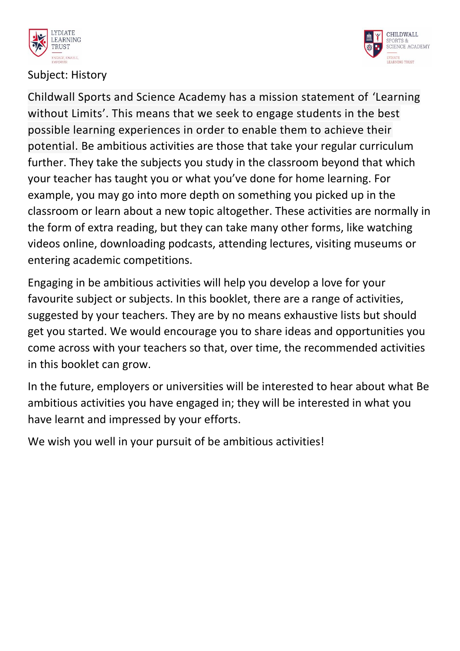



# Subject: History

Childwall Sports and Science Academy has a mission statement of 'Learning without Limits'. This means that we seek to engage students in the best possible learning experiences in order to enable them to achieve their potential. Be ambitious activities are those that take your regular curriculum further. They take the subjects you study in the classroom beyond that which your teacher has taught you or what you've done for home learning. For example, you may go into more depth on something you picked up in the classroom or learn about a new topic altogether. These activities are normally in the form of extra reading, but they can take many other forms, like watching videos online, downloading podcasts, attending lectures, visiting museums or entering academic competitions.

Engaging in be ambitious activities will help you develop a love for your favourite subject or subjects. In this booklet, there are a range of activities, suggested by your teachers. They are by no means exhaustive lists but should get you started. We would encourage you to share ideas and opportunities you come across with your teachers so that, over time, the recommended activities in this booklet can grow.

In the future, employers or universities will be interested to hear about what Be ambitious activities you have engaged in; they will be interested in what you have learnt and impressed by your efforts.

We wish you well in your pursuit of be ambitious activities!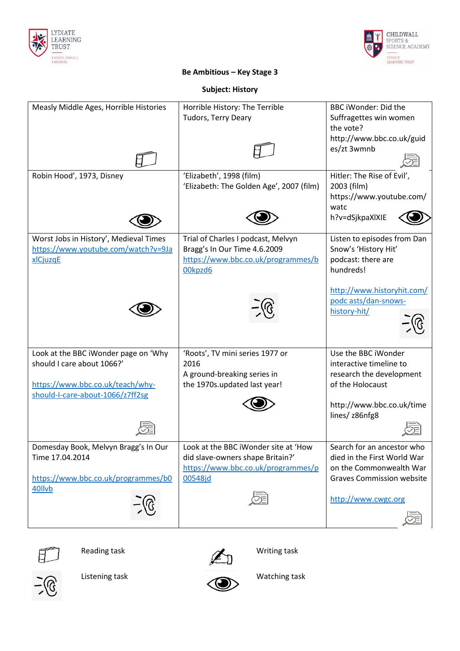



# **Be Ambitious – Key Stage 3**

### **Subject: History**

| Measly Middle Ages, Horrible Histories                                                                                                     | Horrible History: The Terrible<br>Tudors, Terry Deary                                                                     | <b>BBC iWonder: Did the</b><br>Suffragettes win women<br>the vote?<br>http://www.bbc.co.uk/guid<br>es/zt 3wmnb           |
|--------------------------------------------------------------------------------------------------------------------------------------------|---------------------------------------------------------------------------------------------------------------------------|--------------------------------------------------------------------------------------------------------------------------|
| Robin Hood', 1973, Disney                                                                                                                  | 'Elizabeth', 1998 (film)<br>'Elizabeth: The Golden Age', 2007 (film)                                                      | Hitler: The Rise of Evil',<br>2003 (film)<br>https://www.youtube.com/<br>watc<br>h?v=dSjkpaXlXIE                         |
| Worst Jobs in History', Medieval Times<br>https://www.youtube.com/watch?v=9Ja<br>xlCjuzqE                                                  | Trial of Charles I podcast, Melvyn<br>Bragg's In Our Time 4.6.2009<br>https://www.bbc.co.uk/programmes/b<br>00kpzd6       | Listen to episodes from Dan<br>Snow's 'History Hit'<br>podcast: there are<br>hundreds!                                   |
|                                                                                                                                            |                                                                                                                           | http://www.historyhit.com/<br>podc asts/dan-snows-<br>history-hit/                                                       |
| Look at the BBC iWonder page on 'Why<br>should I care about 1066?'<br>https://www.bbc.co.uk/teach/why-<br>should-I-care-about-1066/z7ff2sg | 'Roots', TV mini series 1977 or<br>2016<br>A ground-breaking series in<br>the 1970s.updated last year!                    | Use the BBC iWonder<br>interactive timeline to<br>research the development<br>of the Holocaust                           |
|                                                                                                                                            |                                                                                                                           | http://www.bbc.co.uk/time<br>lines/ z86nfg8                                                                              |
| Domesday Book, Melvyn Bragg's In Our<br>Time 17.04.2014<br>https://www.bbc.co.uk/programmes/b0<br>40llvb                                   | Look at the BBC iWonder site at 'How<br>did slave-owners shape Britain?'<br>https://www.bbc.co.uk/programmes/p<br>00548jd | Search for an ancestor who<br>died in the First World War<br>on the Commonwealth War<br><b>Graves Commission website</b> |
|                                                                                                                                            |                                                                                                                           | http://www.cwgc.org                                                                                                      |









Listening task Watching task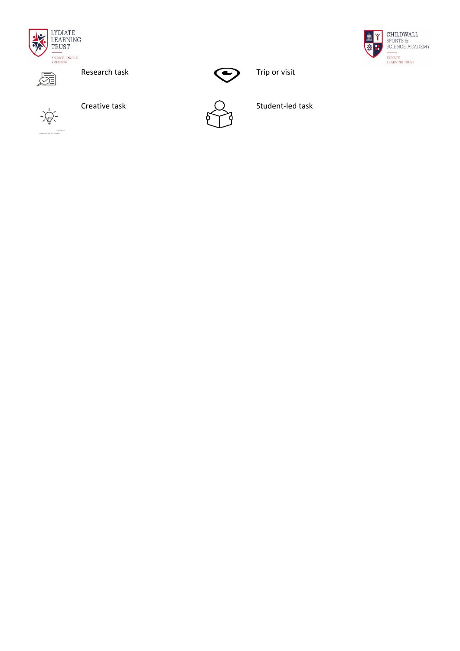





 $-\frac{1}{2}$ 







Creative task  $\bigcap$  Student-led task

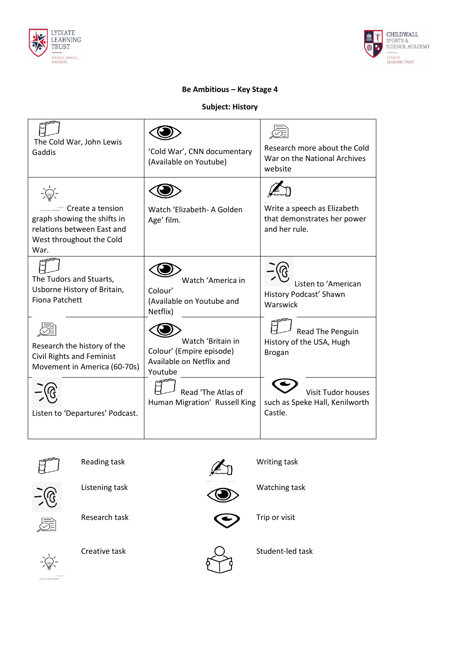



# **Be Ambitious – Key Stage 4**

**Subject: History**

| The Cold War, John Lewis<br>Gaddis                                                                                | 'Cold War', CNN documentary<br>(Available on Youtube)                                | Research more about the Cold<br>War on the National Archives<br>website     |
|-------------------------------------------------------------------------------------------------------------------|--------------------------------------------------------------------------------------|-----------------------------------------------------------------------------|
| Create a tension<br>graph showing the shifts in<br>relations between East and<br>West throughout the Cold<br>War. | Watch 'Elizabeth- A Golden<br>Age' film.                                             | Write a speech as Elizabeth<br>that demonstrates her power<br>and her rule. |
| The Tudors and Stuarts,<br>Usborne History of Britain,<br><b>Fiona Patchett</b>                                   | Watch 'America in<br>Colour'<br>(Available on Youtube and<br>Netflix)                | Listen to 'American<br>History Podcast' Shawn<br>Warswick                   |
| Research the history of the<br><b>Civil Rights and Feminist</b><br>Movement in America (60-70s)                   | Watch 'Britain in<br>Colour' (Empire episode)<br>Available on Netflix and<br>Youtube | Read The Penguin<br>History of the USA, Hugh<br><b>Brogan</b>               |
| Listen to 'Departures' Podcast.                                                                                   | Read 'The Atlas of<br>Human Migration' Russell King                                  | <b>Visit Tudor houses</b><br>such as Speke Hall, Kenilworth<br>Castle.      |





Listening task Watching task







Research task  $\qquad \qquad \qquad \qquad$  Trip or visit



Creative task  $\bigcirc$  Student-led task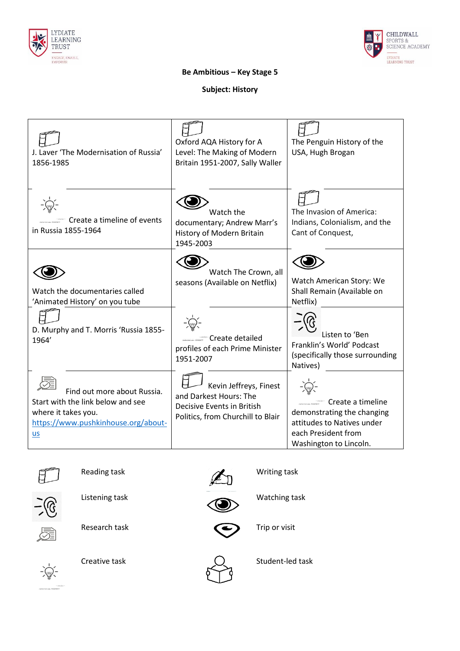



## **Be Ambitious – Key Stage 5**

### **Subject: History**

| J. Laver 'The Modernisation of Russia'<br>1856-1985                                                                                    | Oxford AQA History for A<br>Level: The Making of Modern<br>Britain 1951-2007, Sally Waller                          | The Penguin History of the<br>USA, Hugh Brogan                                                                                 |
|----------------------------------------------------------------------------------------------------------------------------------------|---------------------------------------------------------------------------------------------------------------------|--------------------------------------------------------------------------------------------------------------------------------|
| Create a timeline of events<br>in Russia 1855-1964                                                                                     | Watch the<br>documentary; Andrew Marr's<br>History of Modern Britain<br>1945-2003                                   | The Invasion of America:<br>Indians, Colonialism, and the<br>Cant of Conquest,                                                 |
| Watch the documentaries called<br>'Animated History' on you tube                                                                       | Watch The Crown, all<br>seasons (Available on Netflix)                                                              | Watch American Story: We<br>Shall Remain (Available on<br>Netflix)                                                             |
| D. Murphy and T. Morris 'Russia 1855-<br>1964'                                                                                         | Create detailed<br>profiles of each Prime Minister<br>1951-2007                                                     | Listen to 'Ben<br>Franklin's World' Podcast<br>(specifically those surrounding<br>Natives)                                     |
| Find out more about Russia.<br>Start with the link below and see<br>where it takes you.<br>https://www.pushkinhouse.org/about-<br>$us$ | Kevin Jeffreys, Finest<br>and Darkest Hours: The<br>Decisive Events in British<br>Politics, from Churchill to Blair | Create a timeline<br>demonstrating the changing<br>attitudes to Natives under<br>each President from<br>Washington to Lincoln. |





Listening task Watching task







Research task  $\qquad \qquad \qquad \qquad$  Trip or visit





Creative task  $\bigcirc$  Student-led task